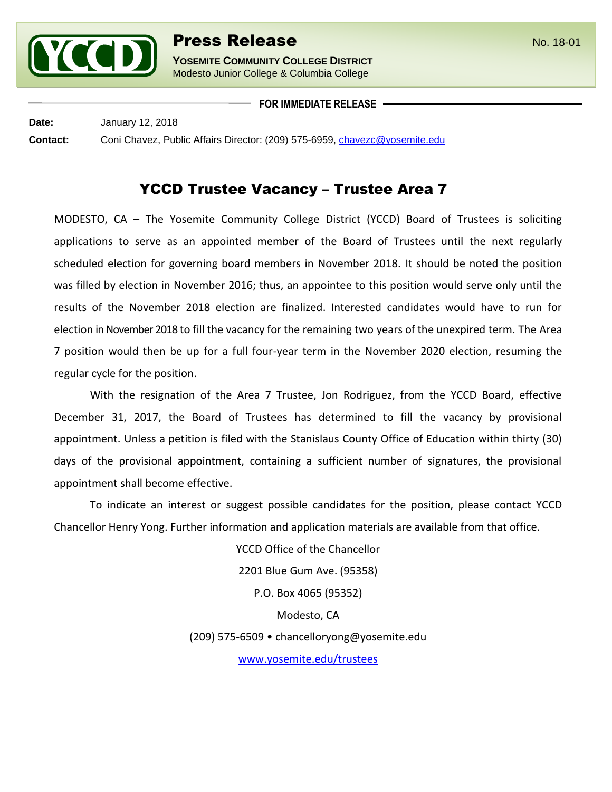

**YOSEMITE COMMUNITY COLLEGE DISTRICT** Modesto Junior College & Columbia College

**FOR IMMEDIATE RELEASE**

**Date:** January 12, 2018

**Contact:** Coni Chavez, Public Affairs Director: (209) 575-6959, [chavezc@yosemite.edu](mailto:chavezc@yosemite.edu)

## YCCD Trustee Vacancy – Trustee Area 7

MODESTO, CA – The Yosemite Community College District (YCCD) Board of Trustees is soliciting applications to serve as an appointed member of the Board of Trustees until the next regularly scheduled election for governing board members in November 2018. It should be noted the position was filled by election in November 2016; thus, an appointee to this position would serve only until the results of the November 2018 election are finalized. Interested candidates would have to run for election in November 2018 to fill the vacancy for the remaining two years of the unexpired term. The Area 7 position would then be up for a full four-year term in the November 2020 election, resuming the regular cycle for the position.

With the resignation of the Area 7 Trustee, Jon Rodriguez, from the YCCD Board, effective December 31, 2017, the Board of Trustees has determined to fill the vacancy by provisional appointment. Unless a petition is filed with the Stanislaus County Office of Education within thirty (30) days of the provisional appointment, containing a sufficient number of signatures, the provisional appointment shall become effective.

To indicate an interest or suggest possible candidates for the position, please contact YCCD Chancellor Henry Yong. Further information and application materials are available from that office.

> YCCD Office of the Chancellor 2201 Blue Gum Ave. (95358) P.O. Box 4065 (95352) Modesto, CA (209) 575-6509 • chancelloryong@yosemite.edu

[www.yosemite.edu/trustees](http://www.yosemite.edu/trustees)